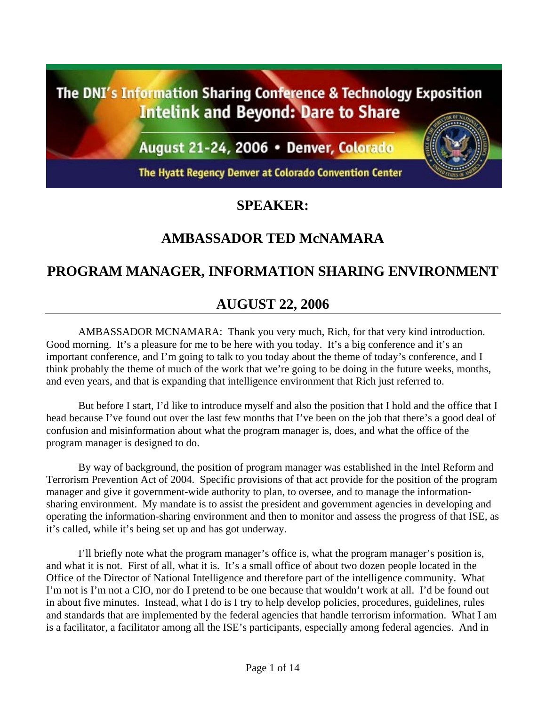The DNI's Information Sharing Conference & Technology Exposition **Intelink and Beyond: Dare to Share** 

August 21-24, 2006 · Denver, Colorado

The Hyatt Regency Denver at Colorado Convention Center

## **SPEAKER:**

# **AMBASSADOR TED McNAMARA**

# **PROGRAM MANAGER, INFORMATION SHARING ENVIRONMENT**

## **AUGUST 22, 2006**

AMBASSADOR MCNAMARA: Thank you very much, Rich, for that very kind introduction. Good morning. It's a pleasure for me to be here with you today. It's a big conference and it's an important conference, and I'm going to talk to you today about the theme of today's conference, and I think probably the theme of much of the work that we're going to be doing in the future weeks, months, and even years, and that is expanding that intelligence environment that Rich just referred to.

But before I start, I'd like to introduce myself and also the position that I hold and the office that I head because I've found out over the last few months that I've been on the job that there's a good deal of confusion and misinformation about what the program manager is, does, and what the office of the program manager is designed to do.

By way of background, the position of program manager was established in the Intel Reform and Terrorism Prevention Act of 2004. Specific provisions of that act provide for the position of the program manager and give it government-wide authority to plan, to oversee, and to manage the informationsharing environment. My mandate is to assist the president and government agencies in developing and operating the information-sharing environment and then to monitor and assess the progress of that ISE, as it's called, while it's being set up and has got underway.

I'll briefly note what the program manager's office is, what the program manager's position is, and what it is not. First of all, what it is. It's a small office of about two dozen people located in the Office of the Director of National Intelligence and therefore part of the intelligence community. What I'm not is I'm not a CIO, nor do I pretend to be one because that wouldn't work at all. I'd be found out in about five minutes. Instead, what I do is I try to help develop policies, procedures, guidelines, rules and standards that are implemented by the federal agencies that handle terrorism information. What I am is a facilitator, a facilitator among all the ISE's participants, especially among federal agencies. And in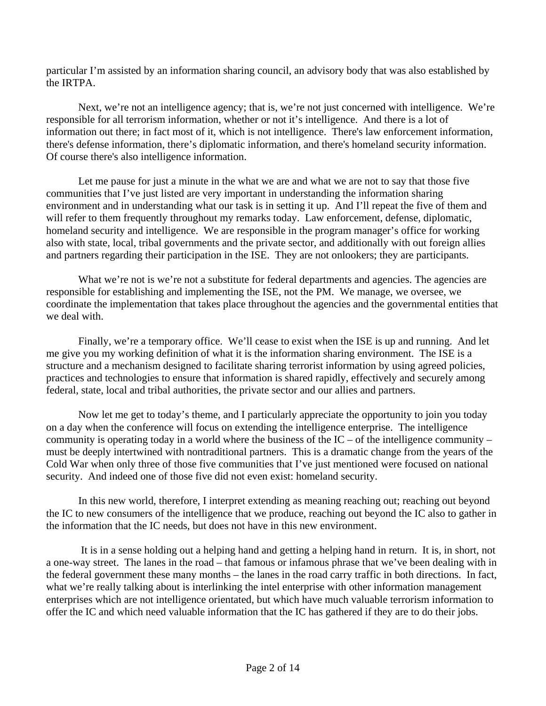particular I'm assisted by an information sharing council, an advisory body that was also established by the IRTPA.

Next, we're not an intelligence agency; that is, we're not just concerned with intelligence. We're responsible for all terrorism information, whether or not it's intelligence. And there is a lot of information out there; in fact most of it, which is not intelligence. There's law enforcement information, there's defense information, there's diplomatic information, and there's homeland security information. Of course there's also intelligence information.

Let me pause for just a minute in the what we are and what we are not to say that those five communities that I've just listed are very important in understanding the information sharing environment and in understanding what our task is in setting it up. And I'll repeat the five of them and will refer to them frequently throughout my remarks today. Law enforcement, defense, diplomatic, homeland security and intelligence. We are responsible in the program manager's office for working also with state, local, tribal governments and the private sector, and additionally with out foreign allies and partners regarding their participation in the ISE. They are not onlookers; they are participants.

What we're not is we're not a substitute for federal departments and agencies. The agencies are responsible for establishing and implementing the ISE, not the PM. We manage, we oversee, we coordinate the implementation that takes place throughout the agencies and the governmental entities that we deal with.

Finally, we're a temporary office. We'll cease to exist when the ISE is up and running. And let me give you my working definition of what it is the information sharing environment. The ISE is a structure and a mechanism designed to facilitate sharing terrorist information by using agreed policies, practices and technologies to ensure that information is shared rapidly, effectively and securely among federal, state, local and tribal authorities, the private sector and our allies and partners.

Now let me get to today's theme, and I particularly appreciate the opportunity to join you today on a day when the conference will focus on extending the intelligence enterprise. The intelligence community is operating today in a world where the business of the  $IC$  – of the intelligence community – must be deeply intertwined with nontraditional partners. This is a dramatic change from the years of the Cold War when only three of those five communities that I've just mentioned were focused on national security. And indeed one of those five did not even exist: homeland security.

In this new world, therefore, I interpret extending as meaning reaching out; reaching out beyond the IC to new consumers of the intelligence that we produce, reaching out beyond the IC also to gather in the information that the IC needs, but does not have in this new environment.

 It is in a sense holding out a helping hand and getting a helping hand in return. It is, in short, not a one-way street. The lanes in the road – that famous or infamous phrase that we've been dealing with in the federal government these many months – the lanes in the road carry traffic in both directions. In fact, what we're really talking about is interlinking the intel enterprise with other information management enterprises which are not intelligence orientated, but which have much valuable terrorism information to offer the IC and which need valuable information that the IC has gathered if they are to do their jobs.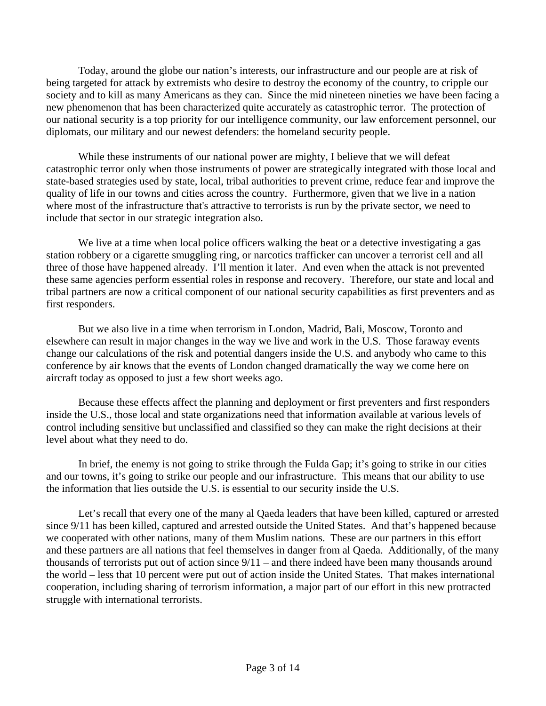Today, around the globe our nation's interests, our infrastructure and our people are at risk of being targeted for attack by extremists who desire to destroy the economy of the country, to cripple our society and to kill as many Americans as they can. Since the mid nineteen nineties we have been facing a new phenomenon that has been characterized quite accurately as catastrophic terror. The protection of our national security is a top priority for our intelligence community, our law enforcement personnel, our diplomats, our military and our newest defenders: the homeland security people.

While these instruments of our national power are mighty, I believe that we will defeat catastrophic terror only when those instruments of power are strategically integrated with those local and state-based strategies used by state, local, tribal authorities to prevent crime, reduce fear and improve the quality of life in our towns and cities across the country. Furthermore, given that we live in a nation where most of the infrastructure that's attractive to terrorists is run by the private sector, we need to include that sector in our strategic integration also.

We live at a time when local police officers walking the beat or a detective investigating a gas station robbery or a cigarette smuggling ring, or narcotics trafficker can uncover a terrorist cell and all three of those have happened already. I'll mention it later. And even when the attack is not prevented these same agencies perform essential roles in response and recovery. Therefore, our state and local and tribal partners are now a critical component of our national security capabilities as first preventers and as first responders.

But we also live in a time when terrorism in London, Madrid, Bali, Moscow, Toronto and elsewhere can result in major changes in the way we live and work in the U.S. Those faraway events change our calculations of the risk and potential dangers inside the U.S. and anybody who came to this conference by air knows that the events of London changed dramatically the way we come here on aircraft today as opposed to just a few short weeks ago.

Because these effects affect the planning and deployment or first preventers and first responders inside the U.S., those local and state organizations need that information available at various levels of control including sensitive but unclassified and classified so they can make the right decisions at their level about what they need to do.

In brief, the enemy is not going to strike through the Fulda Gap; it's going to strike in our cities and our towns, it's going to strike our people and our infrastructure. This means that our ability to use the information that lies outside the U.S. is essential to our security inside the U.S.

Let's recall that every one of the many al Qaeda leaders that have been killed, captured or arrested since 9/11 has been killed, captured and arrested outside the United States. And that's happened because we cooperated with other nations, many of them Muslim nations. These are our partners in this effort and these partners are all nations that feel themselves in danger from al Qaeda. Additionally, of the many thousands of terrorists put out of action since 9/11 – and there indeed have been many thousands around the world – less that 10 percent were put out of action inside the United States. That makes international cooperation, including sharing of terrorism information, a major part of our effort in this new protracted struggle with international terrorists.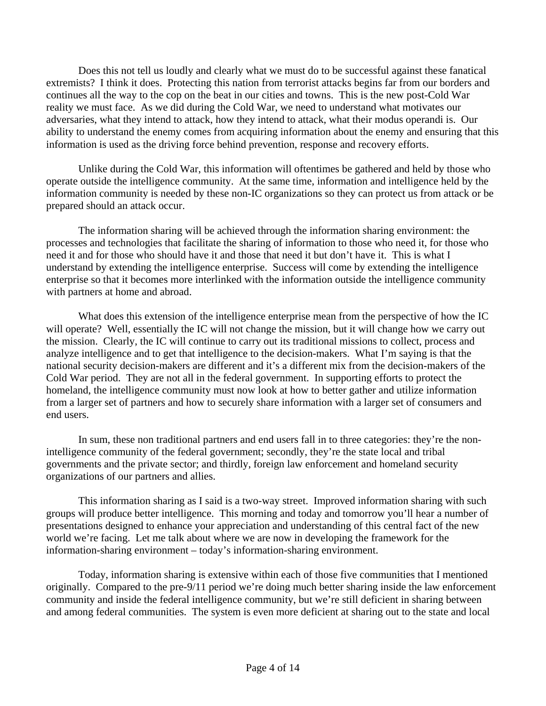Does this not tell us loudly and clearly what we must do to be successful against these fanatical extremists? I think it does. Protecting this nation from terrorist attacks begins far from our borders and continues all the way to the cop on the beat in our cities and towns. This is the new post-Cold War reality we must face. As we did during the Cold War, we need to understand what motivates our adversaries, what they intend to attack, how they intend to attack, what their modus operandi is. Our ability to understand the enemy comes from acquiring information about the enemy and ensuring that this information is used as the driving force behind prevention, response and recovery efforts.

Unlike during the Cold War, this information will oftentimes be gathered and held by those who operate outside the intelligence community. At the same time, information and intelligence held by the information community is needed by these non-IC organizations so they can protect us from attack or be prepared should an attack occur.

The information sharing will be achieved through the information sharing environment: the processes and technologies that facilitate the sharing of information to those who need it, for those who need it and for those who should have it and those that need it but don't have it. This is what I understand by extending the intelligence enterprise. Success will come by extending the intelligence enterprise so that it becomes more interlinked with the information outside the intelligence community with partners at home and abroad.

What does this extension of the intelligence enterprise mean from the perspective of how the IC will operate? Well, essentially the IC will not change the mission, but it will change how we carry out the mission. Clearly, the IC will continue to carry out its traditional missions to collect, process and analyze intelligence and to get that intelligence to the decision-makers. What I'm saying is that the national security decision-makers are different and it's a different mix from the decision-makers of the Cold War period. They are not all in the federal government. In supporting efforts to protect the homeland, the intelligence community must now look at how to better gather and utilize information from a larger set of partners and how to securely share information with a larger set of consumers and end users.

In sum, these non traditional partners and end users fall in to three categories: they're the nonintelligence community of the federal government; secondly, they're the state local and tribal governments and the private sector; and thirdly, foreign law enforcement and homeland security organizations of our partners and allies.

This information sharing as I said is a two-way street. Improved information sharing with such groups will produce better intelligence. This morning and today and tomorrow you'll hear a number of presentations designed to enhance your appreciation and understanding of this central fact of the new world we're facing. Let me talk about where we are now in developing the framework for the information-sharing environment – today's information-sharing environment.

Today, information sharing is extensive within each of those five communities that I mentioned originally. Compared to the pre-9/11 period we're doing much better sharing inside the law enforcement community and inside the federal intelligence community, but we're still deficient in sharing between and among federal communities. The system is even more deficient at sharing out to the state and local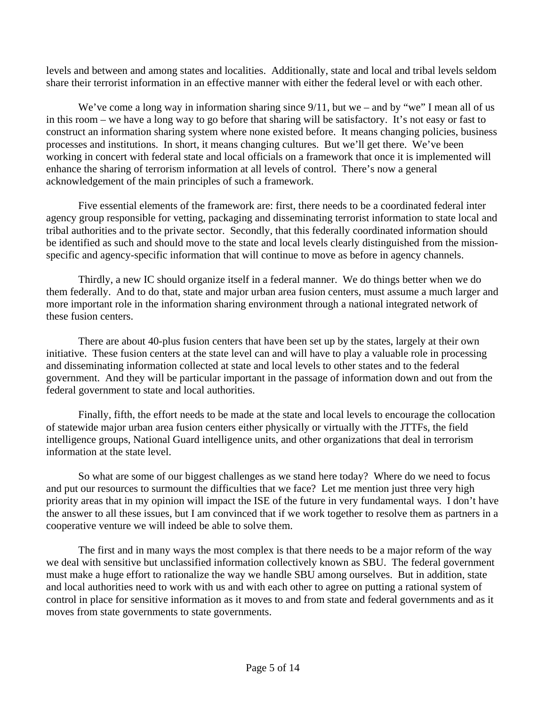levels and between and among states and localities. Additionally, state and local and tribal levels seldom share their terrorist information in an effective manner with either the federal level or with each other.

We've come a long way in information sharing since 9/11, but we – and by "we" I mean all of us in this room – we have a long way to go before that sharing will be satisfactory. It's not easy or fast to construct an information sharing system where none existed before. It means changing policies, business processes and institutions. In short, it means changing cultures. But we'll get there. We've been working in concert with federal state and local officials on a framework that once it is implemented will enhance the sharing of terrorism information at all levels of control. There's now a general acknowledgement of the main principles of such a framework.

Five essential elements of the framework are: first, there needs to be a coordinated federal inter agency group responsible for vetting, packaging and disseminating terrorist information to state local and tribal authorities and to the private sector. Secondly, that this federally coordinated information should be identified as such and should move to the state and local levels clearly distinguished from the missionspecific and agency-specific information that will continue to move as before in agency channels.

Thirdly, a new IC should organize itself in a federal manner. We do things better when we do them federally. And to do that, state and major urban area fusion centers, must assume a much larger and more important role in the information sharing environment through a national integrated network of these fusion centers.

There are about 40-plus fusion centers that have been set up by the states, largely at their own initiative. These fusion centers at the state level can and will have to play a valuable role in processing and disseminating information collected at state and local levels to other states and to the federal government. And they will be particular important in the passage of information down and out from the federal government to state and local authorities.

Finally, fifth, the effort needs to be made at the state and local levels to encourage the collocation of statewide major urban area fusion centers either physically or virtually with the JTTFs, the field intelligence groups, National Guard intelligence units, and other organizations that deal in terrorism information at the state level.

So what are some of our biggest challenges as we stand here today? Where do we need to focus and put our resources to surmount the difficulties that we face? Let me mention just three very high priority areas that in my opinion will impact the ISE of the future in very fundamental ways. I don't have the answer to all these issues, but I am convinced that if we work together to resolve them as partners in a cooperative venture we will indeed be able to solve them.

The first and in many ways the most complex is that there needs to be a major reform of the way we deal with sensitive but unclassified information collectively known as SBU. The federal government must make a huge effort to rationalize the way we handle SBU among ourselves. But in addition, state and local authorities need to work with us and with each other to agree on putting a rational system of control in place for sensitive information as it moves to and from state and federal governments and as it moves from state governments to state governments.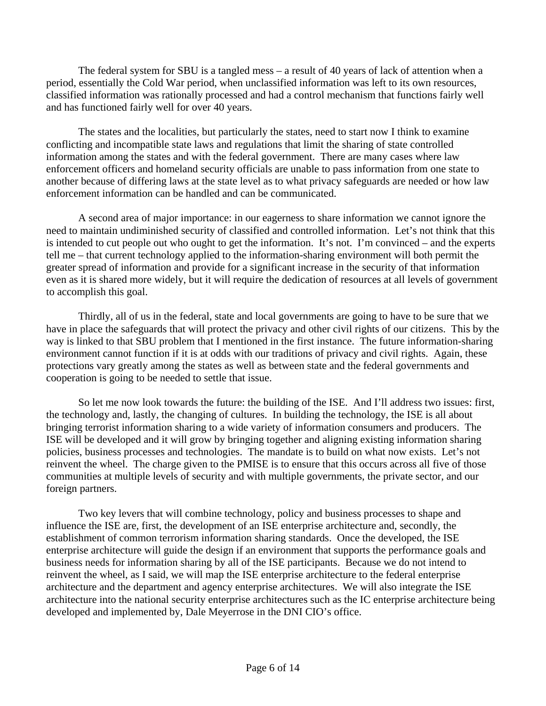The federal system for SBU is a tangled mess – a result of 40 years of lack of attention when a period, essentially the Cold War period, when unclassified information was left to its own resources, classified information was rationally processed and had a control mechanism that functions fairly well and has functioned fairly well for over 40 years.

The states and the localities, but particularly the states, need to start now I think to examine conflicting and incompatible state laws and regulations that limit the sharing of state controlled information among the states and with the federal government. There are many cases where law enforcement officers and homeland security officials are unable to pass information from one state to another because of differing laws at the state level as to what privacy safeguards are needed or how law enforcement information can be handled and can be communicated.

A second area of major importance: in our eagerness to share information we cannot ignore the need to maintain undiminished security of classified and controlled information. Let's not think that this is intended to cut people out who ought to get the information. It's not. I'm convinced – and the experts tell me – that current technology applied to the information-sharing environment will both permit the greater spread of information and provide for a significant increase in the security of that information even as it is shared more widely, but it will require the dedication of resources at all levels of government to accomplish this goal.

Thirdly, all of us in the federal, state and local governments are going to have to be sure that we have in place the safeguards that will protect the privacy and other civil rights of our citizens. This by the way is linked to that SBU problem that I mentioned in the first instance. The future information-sharing environment cannot function if it is at odds with our traditions of privacy and civil rights. Again, these protections vary greatly among the states as well as between state and the federal governments and cooperation is going to be needed to settle that issue.

So let me now look towards the future: the building of the ISE. And I'll address two issues: first, the technology and, lastly, the changing of cultures. In building the technology, the ISE is all about bringing terrorist information sharing to a wide variety of information consumers and producers. The ISE will be developed and it will grow by bringing together and aligning existing information sharing policies, business processes and technologies. The mandate is to build on what now exists. Let's not reinvent the wheel. The charge given to the PMISE is to ensure that this occurs across all five of those communities at multiple levels of security and with multiple governments, the private sector, and our foreign partners.

Two key levers that will combine technology, policy and business processes to shape and influence the ISE are, first, the development of an ISE enterprise architecture and, secondly, the establishment of common terrorism information sharing standards. Once the developed, the ISE enterprise architecture will guide the design if an environment that supports the performance goals and business needs for information sharing by all of the ISE participants. Because we do not intend to reinvent the wheel, as I said, we will map the ISE enterprise architecture to the federal enterprise architecture and the department and agency enterprise architectures. We will also integrate the ISE architecture into the national security enterprise architectures such as the IC enterprise architecture being developed and implemented by, Dale Meyerrose in the DNI CIO's office.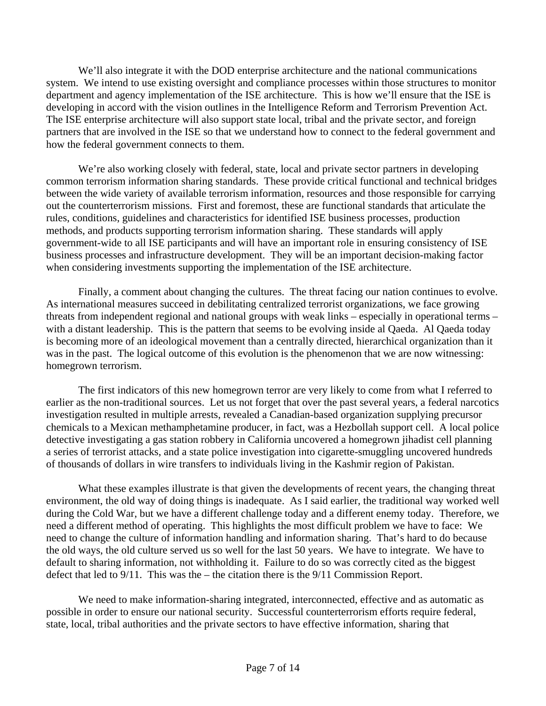We'll also integrate it with the DOD enterprise architecture and the national communications system. We intend to use existing oversight and compliance processes within those structures to monitor department and agency implementation of the ISE architecture. This is how we'll ensure that the ISE is developing in accord with the vision outlines in the Intelligence Reform and Terrorism Prevention Act. The ISE enterprise architecture will also support state local, tribal and the private sector, and foreign partners that are involved in the ISE so that we understand how to connect to the federal government and how the federal government connects to them.

We're also working closely with federal, state, local and private sector partners in developing common terrorism information sharing standards. These provide critical functional and technical bridges between the wide variety of available terrorism information, resources and those responsible for carrying out the counterterrorism missions. First and foremost, these are functional standards that articulate the rules, conditions, guidelines and characteristics for identified ISE business processes, production methods, and products supporting terrorism information sharing. These standards will apply government-wide to all ISE participants and will have an important role in ensuring consistency of ISE business processes and infrastructure development. They will be an important decision-making factor when considering investments supporting the implementation of the ISE architecture.

Finally, a comment about changing the cultures. The threat facing our nation continues to evolve. As international measures succeed in debilitating centralized terrorist organizations, we face growing threats from independent regional and national groups with weak links – especially in operational terms – with a distant leadership. This is the pattern that seems to be evolving inside al Qaeda. Al Qaeda today is becoming more of an ideological movement than a centrally directed, hierarchical organization than it was in the past. The logical outcome of this evolution is the phenomenon that we are now witnessing: homegrown terrorism.

The first indicators of this new homegrown terror are very likely to come from what I referred to earlier as the non-traditional sources. Let us not forget that over the past several years, a federal narcotics investigation resulted in multiple arrests, revealed a Canadian-based organization supplying precursor chemicals to a Mexican methamphetamine producer, in fact, was a Hezbollah support cell. A local police detective investigating a gas station robbery in California uncovered a homegrown jihadist cell planning a series of terrorist attacks, and a state police investigation into cigarette-smuggling uncovered hundreds of thousands of dollars in wire transfers to individuals living in the Kashmir region of Pakistan.

What these examples illustrate is that given the developments of recent years, the changing threat environment, the old way of doing things is inadequate. As I said earlier, the traditional way worked well during the Cold War, but we have a different challenge today and a different enemy today. Therefore, we need a different method of operating. This highlights the most difficult problem we have to face: We need to change the culture of information handling and information sharing. That's hard to do because the old ways, the old culture served us so well for the last 50 years. We have to integrate. We have to default to sharing information, not withholding it. Failure to do so was correctly cited as the biggest defect that led to 9/11. This was the – the citation there is the 9/11 Commission Report.

We need to make information-sharing integrated, interconnected, effective and as automatic as possible in order to ensure our national security. Successful counterterrorism efforts require federal, state, local, tribal authorities and the private sectors to have effective information, sharing that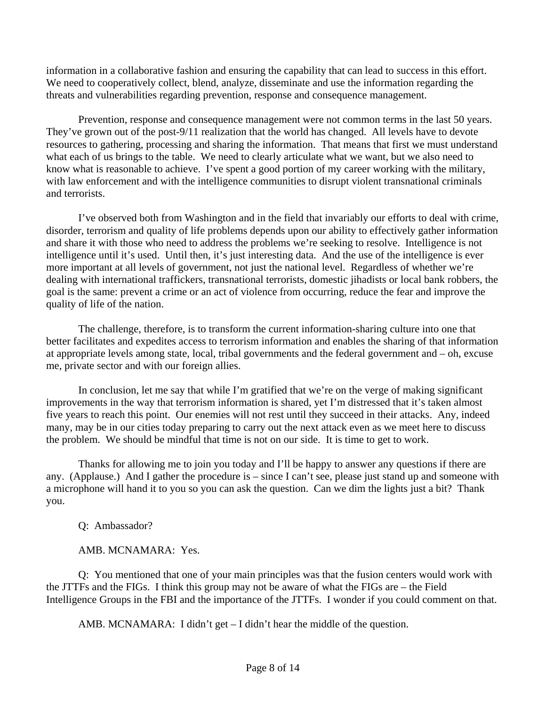information in a collaborative fashion and ensuring the capability that can lead to success in this effort. We need to cooperatively collect, blend, analyze, disseminate and use the information regarding the threats and vulnerabilities regarding prevention, response and consequence management.

Prevention, response and consequence management were not common terms in the last 50 years. They've grown out of the post-9/11 realization that the world has changed. All levels have to devote resources to gathering, processing and sharing the information. That means that first we must understand what each of us brings to the table. We need to clearly articulate what we want, but we also need to know what is reasonable to achieve. I've spent a good portion of my career working with the military, with law enforcement and with the intelligence communities to disrupt violent transnational criminals and terrorists.

I've observed both from Washington and in the field that invariably our efforts to deal with crime, disorder, terrorism and quality of life problems depends upon our ability to effectively gather information and share it with those who need to address the problems we're seeking to resolve. Intelligence is not intelligence until it's used. Until then, it's just interesting data. And the use of the intelligence is ever more important at all levels of government, not just the national level. Regardless of whether we're dealing with international traffickers, transnational terrorists, domestic jihadists or local bank robbers, the goal is the same: prevent a crime or an act of violence from occurring, reduce the fear and improve the quality of life of the nation.

The challenge, therefore, is to transform the current information-sharing culture into one that better facilitates and expedites access to terrorism information and enables the sharing of that information at appropriate levels among state, local, tribal governments and the federal government and – oh, excuse me, private sector and with our foreign allies.

In conclusion, let me say that while I'm gratified that we're on the verge of making significant improvements in the way that terrorism information is shared, yet I'm distressed that it's taken almost five years to reach this point. Our enemies will not rest until they succeed in their attacks. Any, indeed many, may be in our cities today preparing to carry out the next attack even as we meet here to discuss the problem. We should be mindful that time is not on our side. It is time to get to work.

Thanks for allowing me to join you today and I'll be happy to answer any questions if there are any. (Applause.) And I gather the procedure is – since I can't see, please just stand up and someone with a microphone will hand it to you so you can ask the question. Can we dim the lights just a bit? Thank you.

Q: Ambassador?

AMB. MCNAMARA: Yes.

Q: You mentioned that one of your main principles was that the fusion centers would work with the JTTFs and the FIGs. I think this group may not be aware of what the FIGs are – the Field Intelligence Groups in the FBI and the importance of the JTTFs. I wonder if you could comment on that.

AMB. MCNAMARA: I didn't get – I didn't hear the middle of the question.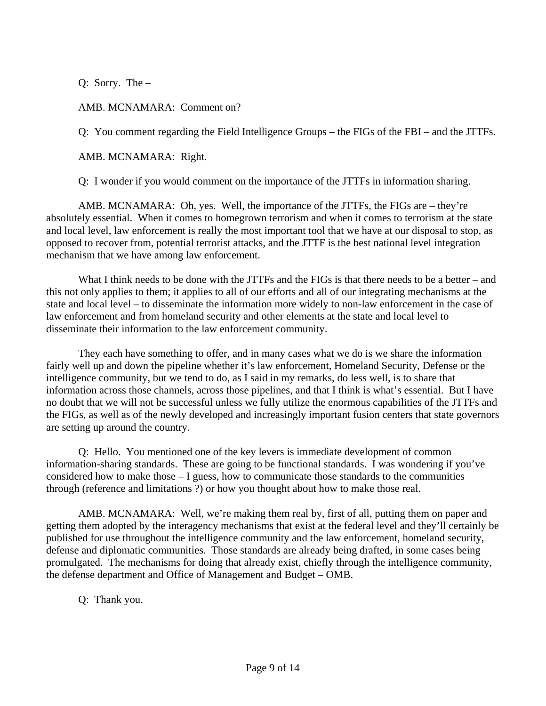Q: Sorry. The –

AMB. MCNAMARA: Comment on?

Q: You comment regarding the Field Intelligence Groups – the FIGs of the FBI – and the JTTFs.

AMB. MCNAMARA: Right.

Q: I wonder if you would comment on the importance of the JTTFs in information sharing.

AMB. MCNAMARA: Oh, yes. Well, the importance of the JTTFs, the FIGs are – they're absolutely essential. When it comes to homegrown terrorism and when it comes to terrorism at the state and local level, law enforcement is really the most important tool that we have at our disposal to stop, as opposed to recover from, potential terrorist attacks, and the JTTF is the best national level integration mechanism that we have among law enforcement.

What I think needs to be done with the JTTFs and the FIGs is that there needs to be a better – and this not only applies to them; it applies to all of our efforts and all of our integrating mechanisms at the state and local level – to disseminate the information more widely to non-law enforcement in the case of law enforcement and from homeland security and other elements at the state and local level to disseminate their information to the law enforcement community.

They each have something to offer, and in many cases what we do is we share the information fairly well up and down the pipeline whether it's law enforcement, Homeland Security, Defense or the intelligence community, but we tend to do, as I said in my remarks, do less well, is to share that information across those channels, across those pipelines, and that I think is what's essential. But I have no doubt that we will not be successful unless we fully utilize the enormous capabilities of the JTTFs and the FIGs, as well as of the newly developed and increasingly important fusion centers that state governors are setting up around the country.

Q: Hello. You mentioned one of the key levers is immediate development of common information-sharing standards. These are going to be functional standards. I was wondering if you've considered how to make those – I guess, how to communicate those standards to the communities through (reference and limitations ?) or how you thought about how to make those real.

AMB. MCNAMARA: Well, we're making them real by, first of all, putting them on paper and getting them adopted by the interagency mechanisms that exist at the federal level and they'll certainly be published for use throughout the intelligence community and the law enforcement, homeland security, defense and diplomatic communities. Those standards are already being drafted, in some cases being promulgated. The mechanisms for doing that already exist, chiefly through the intelligence community, the defense department and Office of Management and Budget – OMB.

## Q: Thank you.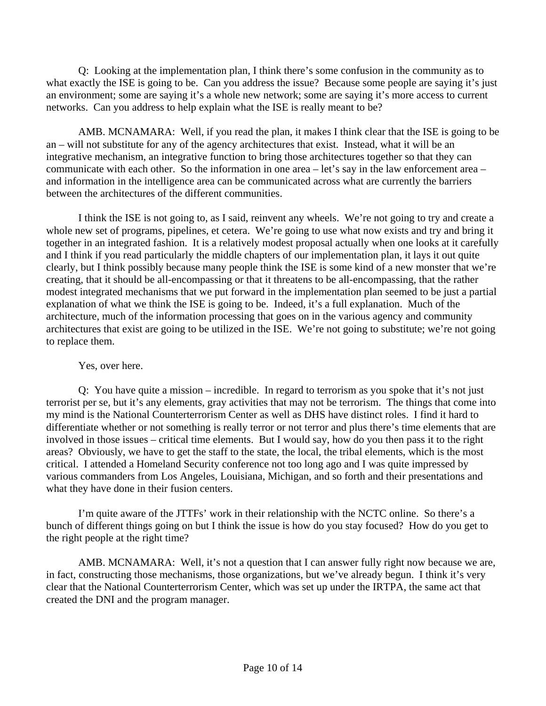Q: Looking at the implementation plan, I think there's some confusion in the community as to what exactly the ISE is going to be. Can you address the issue? Because some people are saying it's just an environment; some are saying it's a whole new network; some are saying it's more access to current networks. Can you address to help explain what the ISE is really meant to be?

AMB. MCNAMARA: Well, if you read the plan, it makes I think clear that the ISE is going to be an – will not substitute for any of the agency architectures that exist. Instead, what it will be an integrative mechanism, an integrative function to bring those architectures together so that they can communicate with each other. So the information in one area – let's say in the law enforcement area – and information in the intelligence area can be communicated across what are currently the barriers between the architectures of the different communities.

I think the ISE is not going to, as I said, reinvent any wheels. We're not going to try and create a whole new set of programs, pipelines, et cetera. We're going to use what now exists and try and bring it together in an integrated fashion. It is a relatively modest proposal actually when one looks at it carefully and I think if you read particularly the middle chapters of our implementation plan, it lays it out quite clearly, but I think possibly because many people think the ISE is some kind of a new monster that we're creating, that it should be all-encompassing or that it threatens to be all-encompassing, that the rather modest integrated mechanisms that we put forward in the implementation plan seemed to be just a partial explanation of what we think the ISE is going to be. Indeed, it's a full explanation. Much of the architecture, much of the information processing that goes on in the various agency and community architectures that exist are going to be utilized in the ISE. We're not going to substitute; we're not going to replace them.

## Yes, over here.

Q: You have quite a mission – incredible. In regard to terrorism as you spoke that it's not just terrorist per se, but it's any elements, gray activities that may not be terrorism. The things that come into my mind is the National Counterterrorism Center as well as DHS have distinct roles. I find it hard to differentiate whether or not something is really terror or not terror and plus there's time elements that are involved in those issues – critical time elements. But I would say, how do you then pass it to the right areas? Obviously, we have to get the staff to the state, the local, the tribal elements, which is the most critical. I attended a Homeland Security conference not too long ago and I was quite impressed by various commanders from Los Angeles, Louisiana, Michigan, and so forth and their presentations and what they have done in their fusion centers.

I'm quite aware of the JTTFs' work in their relationship with the NCTC online. So there's a bunch of different things going on but I think the issue is how do you stay focused? How do you get to the right people at the right time?

AMB. MCNAMARA: Well, it's not a question that I can answer fully right now because we are, in fact, constructing those mechanisms, those organizations, but we've already begun. I think it's very clear that the National Counterterrorism Center, which was set up under the IRTPA, the same act that created the DNI and the program manager.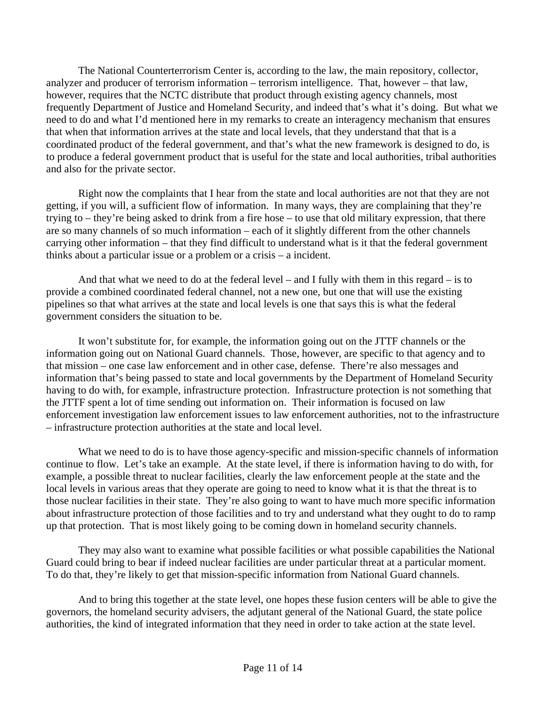The National Counterterrorism Center is, according to the law, the main repository, collector, analyzer and producer of terrorism information – terrorism intelligence. That, however – that law, however, requires that the NCTC distribute that product through existing agency channels, most frequently Department of Justice and Homeland Security, and indeed that's what it's doing. But what we need to do and what I'd mentioned here in my remarks to create an interagency mechanism that ensures that when that information arrives at the state and local levels, that they understand that that is a coordinated product of the federal government, and that's what the new framework is designed to do, is to produce a federal government product that is useful for the state and local authorities, tribal authorities and also for the private sector.

Right now the complaints that I hear from the state and local authorities are not that they are not getting, if you will, a sufficient flow of information. In many ways, they are complaining that they're trying to – they're being asked to drink from a fire hose – to use that old military expression, that there are so many channels of so much information – each of it slightly different from the other channels carrying other information – that they find difficult to understand what is it that the federal government thinks about a particular issue or a problem or a crisis – a incident.

And that what we need to do at the federal level – and I fully with them in this regard – is to provide a combined coordinated federal channel, not a new one, but one that will use the existing pipelines so that what arrives at the state and local levels is one that says this is what the federal government considers the situation to be.

It won't substitute for, for example, the information going out on the JTTF channels or the information going out on National Guard channels. Those, however, are specific to that agency and to that mission – one case law enforcement and in other case, defense. There're also messages and information that's being passed to state and local governments by the Department of Homeland Security having to do with, for example, infrastructure protection. Infrastructure protection is not something that the JTTF spent a lot of time sending out information on. Their information is focused on law enforcement investigation law enforcement issues to law enforcement authorities, not to the infrastructure – infrastructure protection authorities at the state and local level.

What we need to do is to have those agency-specific and mission-specific channels of information continue to flow. Let's take an example. At the state level, if there is information having to do with, for example, a possible threat to nuclear facilities, clearly the law enforcement people at the state and the local levels in various areas that they operate are going to need to know what it is that the threat is to those nuclear facilities in their state. They're also going to want to have much more specific information about infrastructure protection of those facilities and to try and understand what they ought to do to ramp up that protection. That is most likely going to be coming down in homeland security channels.

They may also want to examine what possible facilities or what possible capabilities the National Guard could bring to bear if indeed nuclear facilities are under particular threat at a particular moment. To do that, they're likely to get that mission-specific information from National Guard channels.

And to bring this together at the state level, one hopes these fusion centers will be able to give the governors, the homeland security advisers, the adjutant general of the National Guard, the state police authorities, the kind of integrated information that they need in order to take action at the state level.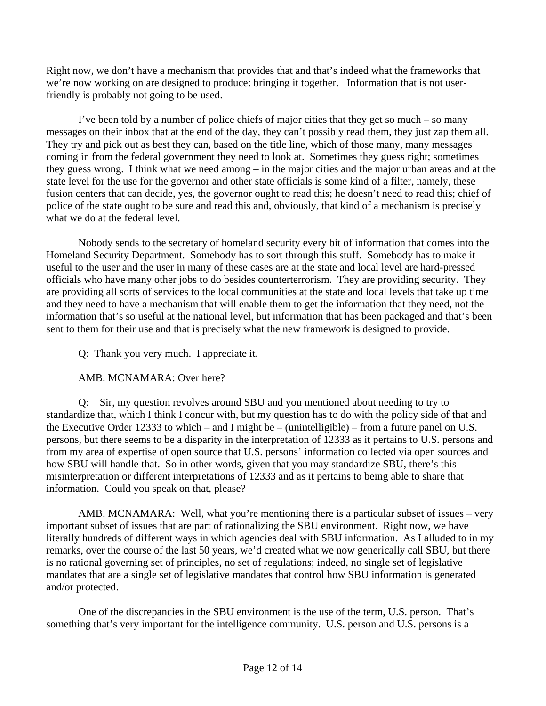Right now, we don't have a mechanism that provides that and that's indeed what the frameworks that we're now working on are designed to produce: bringing it together. Information that is not userfriendly is probably not going to be used.

I've been told by a number of police chiefs of major cities that they get so much – so many messages on their inbox that at the end of the day, they can't possibly read them, they just zap them all. They try and pick out as best they can, based on the title line, which of those many, many messages coming in from the federal government they need to look at. Sometimes they guess right; sometimes they guess wrong. I think what we need among – in the major cities and the major urban areas and at the state level for the use for the governor and other state officials is some kind of a filter, namely, these fusion centers that can decide, yes, the governor ought to read this; he doesn't need to read this; chief of police of the state ought to be sure and read this and, obviously, that kind of a mechanism is precisely what we do at the federal level.

Nobody sends to the secretary of homeland security every bit of information that comes into the Homeland Security Department. Somebody has to sort through this stuff. Somebody has to make it useful to the user and the user in many of these cases are at the state and local level are hard-pressed officials who have many other jobs to do besides counterterrorism. They are providing security. They are providing all sorts of services to the local communities at the state and local levels that take up time and they need to have a mechanism that will enable them to get the information that they need, not the information that's so useful at the national level, but information that has been packaged and that's been sent to them for their use and that is precisely what the new framework is designed to provide.

Q: Thank you very much. I appreciate it.

## AMB. MCNAMARA: Over here?

Q: Sir, my question revolves around SBU and you mentioned about needing to try to standardize that, which I think I concur with, but my question has to do with the policy side of that and the Executive Order 12333 to which – and I might be – (unintelligible) – from a future panel on U.S. persons, but there seems to be a disparity in the interpretation of 12333 as it pertains to U.S. persons and from my area of expertise of open source that U.S. persons' information collected via open sources and how SBU will handle that. So in other words, given that you may standardize SBU, there's this misinterpretation or different interpretations of 12333 and as it pertains to being able to share that information. Could you speak on that, please?

AMB. MCNAMARA: Well, what you're mentioning there is a particular subset of issues – very important subset of issues that are part of rationalizing the SBU environment. Right now, we have literally hundreds of different ways in which agencies deal with SBU information. As I alluded to in my remarks, over the course of the last 50 years, we'd created what we now generically call SBU, but there is no rational governing set of principles, no set of regulations; indeed, no single set of legislative mandates that are a single set of legislative mandates that control how SBU information is generated and/or protected.

One of the discrepancies in the SBU environment is the use of the term, U.S. person. That's something that's very important for the intelligence community. U.S. person and U.S. persons is a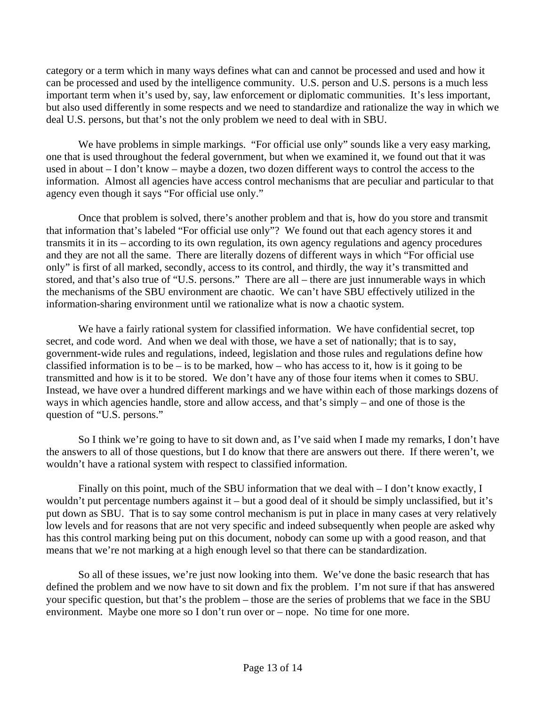category or a term which in many ways defines what can and cannot be processed and used and how it can be processed and used by the intelligence community. U.S. person and U.S. persons is a much less important term when it's used by, say, law enforcement or diplomatic communities. It's less important, but also used differently in some respects and we need to standardize and rationalize the way in which we deal U.S. persons, but that's not the only problem we need to deal with in SBU.

We have problems in simple markings. "For official use only" sounds like a very easy marking, one that is used throughout the federal government, but when we examined it, we found out that it was used in about – I don't know – maybe a dozen, two dozen different ways to control the access to the information. Almost all agencies have access control mechanisms that are peculiar and particular to that agency even though it says "For official use only."

Once that problem is solved, there's another problem and that is, how do you store and transmit that information that's labeled "For official use only"? We found out that each agency stores it and transmits it in its – according to its own regulation, its own agency regulations and agency procedures and they are not all the same. There are literally dozens of different ways in which "For official use only" is first of all marked, secondly, access to its control, and thirdly, the way it's transmitted and stored, and that's also true of "U.S. persons." There are all – there are just innumerable ways in which the mechanisms of the SBU environment are chaotic. We can't have SBU effectively utilized in the information-sharing environment until we rationalize what is now a chaotic system.

We have a fairly rational system for classified information. We have confidential secret, top secret, and code word. And when we deal with those, we have a set of nationally; that is to say, government-wide rules and regulations, indeed, legislation and those rules and regulations define how classified information is to be – is to be marked, how – who has access to it, how is it going to be transmitted and how is it to be stored. We don't have any of those four items when it comes to SBU. Instead, we have over a hundred different markings and we have within each of those markings dozens of ways in which agencies handle, store and allow access, and that's simply – and one of those is the question of "U.S. persons."

So I think we're going to have to sit down and, as I've said when I made my remarks, I don't have the answers to all of those questions, but I do know that there are answers out there. If there weren't, we wouldn't have a rational system with respect to classified information.

Finally on this point, much of the SBU information that we deal with  $-I$  don't know exactly, I wouldn't put percentage numbers against it – but a good deal of it should be simply unclassified, but it's put down as SBU. That is to say some control mechanism is put in place in many cases at very relatively low levels and for reasons that are not very specific and indeed subsequently when people are asked why has this control marking being put on this document, nobody can some up with a good reason, and that means that we're not marking at a high enough level so that there can be standardization.

So all of these issues, we're just now looking into them. We've done the basic research that has defined the problem and we now have to sit down and fix the problem. I'm not sure if that has answered your specific question, but that's the problem – those are the series of problems that we face in the SBU environment. Maybe one more so I don't run over or – nope. No time for one more.